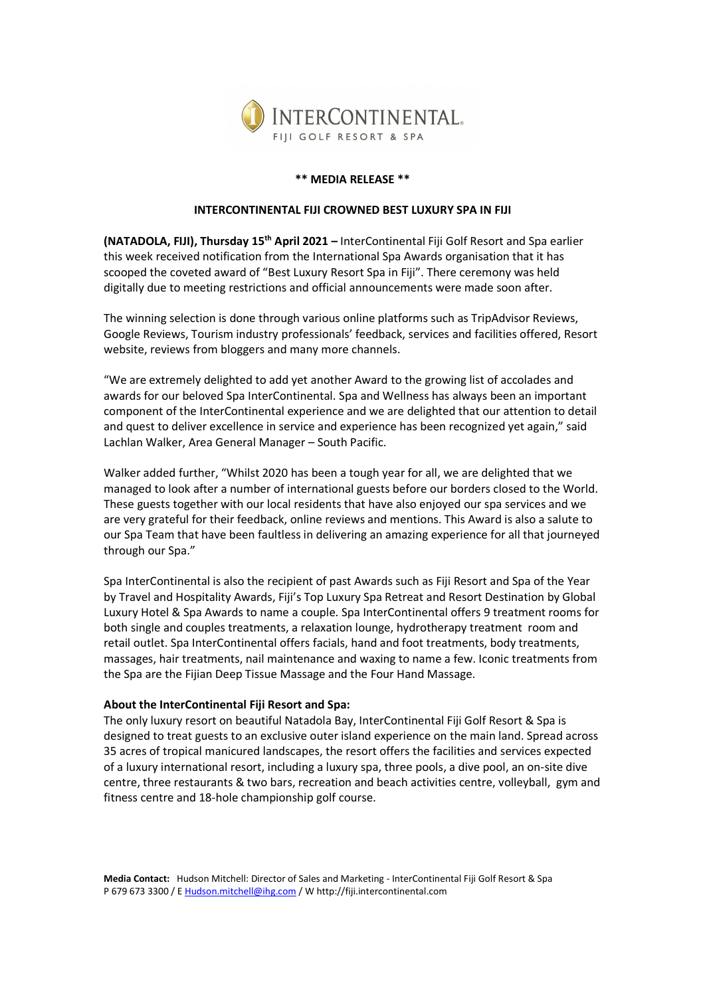

## \*\* MEDIA RELEASE \*\*

## INTERCONTINENTAL FIJI CROWNED BEST LUXURY SPA IN FIJI

(NATADOLA, FIJI), Thursday 15<sup>th</sup> April 2021 – InterContinental Fiji Golf Resort and Spa earlier this week received notification from the International Spa Awards organisation that it has scooped the coveted award of "Best Luxury Resort Spa in Fiji". There ceremony was held digitally due to meeting restrictions and official announcements were made soon after.

The winning selection is done through various online platforms such as TripAdvisor Reviews, Google Reviews, Tourism industry professionals' feedback, services and facilities offered, Resort website, reviews from bloggers and many more channels.

"We are extremely delighted to add yet another Award to the growing list of accolades and awards for our beloved Spa InterContinental. Spa and Wellness has always been an important component of the InterContinental experience and we are delighted that our attention to detail and quest to deliver excellence in service and experience has been recognized yet again," said Lachlan Walker, Area General Manager – South Pacific.

Walker added further, "Whilst 2020 has been a tough year for all, we are delighted that we managed to look after a number of international guests before our borders closed to the World. These guests together with our local residents that have also enjoyed our spa services and we are very grateful for their feedback, online reviews and mentions. This Award is also a salute to our Spa Team that have been faultless in delivering an amazing experience for all that journeyed through our Spa."

Spa InterContinental is also the recipient of past Awards such as Fiji Resort and Spa of the Year by Travel and Hospitality Awards, Fiji's Top Luxury Spa Retreat and Resort Destination by Global Luxury Hotel & Spa Awards to name a couple. Spa InterContinental offers 9 treatment rooms for both single and couples treatments, a relaxation lounge, hydrotherapy treatment room and retail outlet. Spa InterContinental offers facials, hand and foot treatments, body treatments, massages, hair treatments, nail maintenance and waxing to name a few. Iconic treatments from the Spa are the Fijian Deep Tissue Massage and the Four Hand Massage.

## About the InterContinental Fiji Resort and Spa:

The only luxury resort on beautiful Natadola Bay, InterContinental Fiji Golf Resort & Spa is designed to treat guests to an exclusive outer island experience on the main land. Spread across 35 acres of tropical manicured landscapes, the resort offers the facilities and services expected of a luxury international resort, including a luxury spa, three pools, a dive pool, an on-site dive centre, three restaurants & two bars, recreation and beach activities centre, volleyball, gym and fitness centre and 18-hole championship golf course.